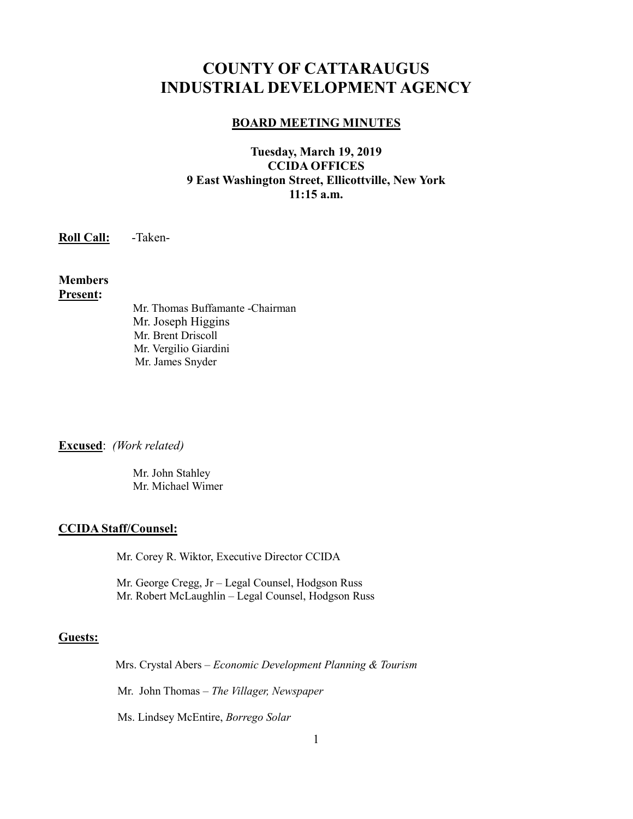# **COUNTY OF CATTARAUGUS INDUSTRIAL DEVELOPMENT AGENCY**

#### **BOARD MEETING MINUTES**

## **Tuesday, March 19, 2019 CCIDA OFFICES 9 East Washington Street, Ellicottville, New York 11:15 a.m.**

**Roll Call:** -Taken-

**Members Present:**

> Mr. Thomas Buffamante -Chairman Mr. Joseph Higgins Mr. Brent Driscoll Mr. Vergilio Giardini Mr. James Snyder

**Excused**: *(Work related)*

 Mr. John Stahley Mr. Michael Wimer

#### **CCIDA Staff/Counsel:**

Mr. Corey R. Wiktor, Executive Director CCIDA

Mr. George Cregg, Jr – Legal Counsel, Hodgson Russ Mr. Robert McLaughlin – Legal Counsel, Hodgson Russ

## **Guests:**

Mrs. Crystal Abers – *Economic Development Planning & Tourism*

Mr. John Thomas – *The Villager, Newspaper*

Ms. Lindsey McEntire, *Borrego Solar*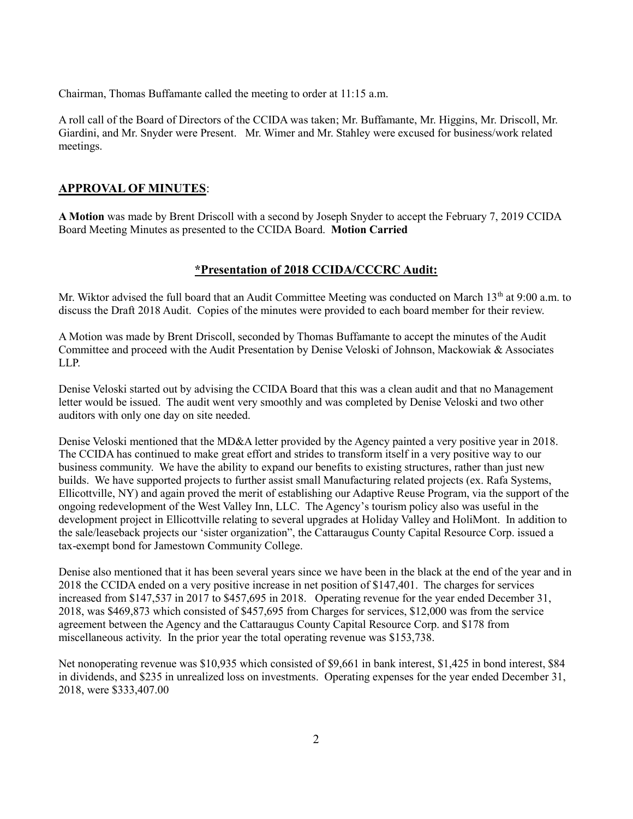Chairman, Thomas Buffamante called the meeting to order at 11:15 a.m.

A roll call of the Board of Directors of the CCIDA was taken; Mr. Buffamante, Mr. Higgins, Mr. Driscoll, Mr. Giardini, and Mr. Snyder were Present. Mr. Wimer and Mr. Stahley were excused for business/work related meetings.

## **APPROVAL OF MINUTES**:

**A Motion** was made by Brent Driscoll with a second by Joseph Snyder to accept the February 7, 2019 CCIDA Board Meeting Minutes as presented to the CCIDA Board. **Motion Carried**

## **\*Presentation of 2018 CCIDA/CCCRC Audit:**

Mr. Wiktor advised the full board that an Audit Committee Meeting was conducted on March 13<sup>th</sup> at 9:00 a.m. to discuss the Draft 2018 Audit. Copies of the minutes were provided to each board member for their review.

A Motion was made by Brent Driscoll, seconded by Thomas Buffamante to accept the minutes of the Audit Committee and proceed with the Audit Presentation by Denise Veloski of Johnson, Mackowiak & Associates LLP.

Denise Veloski started out by advising the CCIDA Board that this was a clean audit and that no Management letter would be issued. The audit went very smoothly and was completed by Denise Veloski and two other auditors with only one day on site needed.

Denise Veloski mentioned that the MD&A letter provided by the Agency painted a very positive year in 2018. The CCIDA has continued to make great effort and strides to transform itself in a very positive way to our business community. We have the ability to expand our benefits to existing structures, rather than just new builds. We have supported projects to further assist small Manufacturing related projects (ex. Rafa Systems, Ellicottville, NY) and again proved the merit of establishing our Adaptive Reuse Program, via the support of the ongoing redevelopment of the West Valley Inn, LLC. The Agency's tourism policy also was useful in the development project in Ellicottville relating to several upgrades at Holiday Valley and HoliMont. In addition to the sale/leaseback projects our 'sister organization", the Cattaraugus County Capital Resource Corp. issued a tax-exempt bond for Jamestown Community College.

Denise also mentioned that it has been several years since we have been in the black at the end of the year and in 2018 the CCIDA ended on a very positive increase in net position of \$147,401. The charges for services increased from \$147,537 in 2017 to \$457,695 in 2018. Operating revenue for the year ended December 31, 2018, was \$469,873 which consisted of \$457,695 from Charges for services, \$12,000 was from the service agreement between the Agency and the Cattaraugus County Capital Resource Corp. and \$178 from miscellaneous activity. In the prior year the total operating revenue was \$153,738.

Net nonoperating revenue was \$10,935 which consisted of \$9,661 in bank interest, \$1,425 in bond interest, \$84 in dividends, and \$235 in unrealized loss on investments. Operating expenses for the year ended December 31, 2018, were \$333,407.00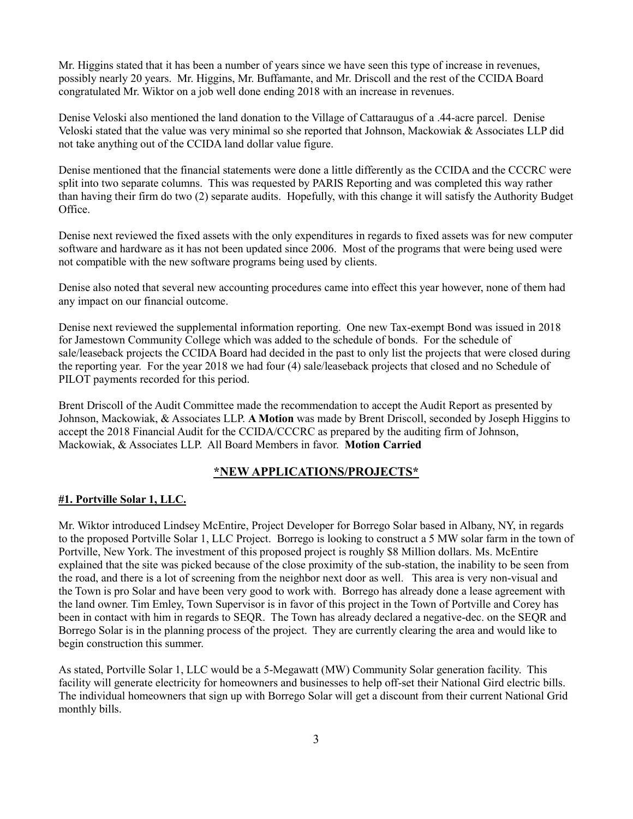Mr. Higgins stated that it has been a number of years since we have seen this type of increase in revenues, possibly nearly 20 years. Mr. Higgins, Mr. Buffamante, and Mr. Driscoll and the rest of the CCIDA Board congratulated Mr. Wiktor on a job well done ending 2018 with an increase in revenues.

Denise Veloski also mentioned the land donation to the Village of Cattaraugus of a .44-acre parcel. Denise Veloski stated that the value was very minimal so she reported that Johnson, Mackowiak & Associates LLP did not take anything out of the CCIDA land dollar value figure.

Denise mentioned that the financial statements were done a little differently as the CCIDA and the CCCRC were split into two separate columns. This was requested by PARIS Reporting and was completed this way rather than having their firm do two (2) separate audits. Hopefully, with this change it will satisfy the Authority Budget Office.

Denise next reviewed the fixed assets with the only expenditures in regards to fixed assets was for new computer software and hardware as it has not been updated since 2006. Most of the programs that were being used were not compatible with the new software programs being used by clients.

Denise also noted that several new accounting procedures came into effect this year however, none of them had any impact on our financial outcome.

Denise next reviewed the supplemental information reporting. One new Tax-exempt Bond was issued in 2018 for Jamestown Community College which was added to the schedule of bonds. For the schedule of sale/leaseback projects the CCIDA Board had decided in the past to only list the projects that were closed during the reporting year. For the year 2018 we had four (4) sale/leaseback projects that closed and no Schedule of PILOT payments recorded for this period.

Brent Driscoll of the Audit Committee made the recommendation to accept the Audit Report as presented by Johnson, Mackowiak, & Associates LLP. **A Motion** was made by Brent Driscoll, seconded by Joseph Higgins to accept the 2018 Financial Audit for the CCIDA/CCCRC as prepared by the auditing firm of Johnson, Mackowiak, & Associates LLP. All Board Members in favor. **Motion Carried**

#### **\*NEW APPLICATIONS/PROJECTS\***

#### **#1. Portville Solar 1, LLC.**

Mr. Wiktor introduced Lindsey McEntire, Project Developer for Borrego Solar based in Albany, NY, in regards to the proposed Portville Solar 1, LLC Project. Borrego is looking to construct a 5 MW solar farm in the town of Portville, New York. The investment of this proposed project is roughly \$8 Million dollars. Ms. McEntire explained that the site was picked because of the close proximity of the sub-station, the inability to be seen from the road, and there is a lot of screening from the neighbor next door as well. This area is very non-visual and the Town is pro Solar and have been very good to work with. Borrego has already done a lease agreement with the land owner. Tim Emley, Town Supervisor is in favor of this project in the Town of Portville and Corey has been in contact with him in regards to SEQR. The Town has already declared a negative-dec. on the SEQR and Borrego Solar is in the planning process of the project. They are currently clearing the area and would like to begin construction this summer.

As stated, Portville Solar 1, LLC would be a 5-Megawatt (MW) Community Solar generation facility. This facility will generate electricity for homeowners and businesses to help off-set their National Gird electric bills. The individual homeowners that sign up with Borrego Solar will get a discount from their current National Grid monthly bills.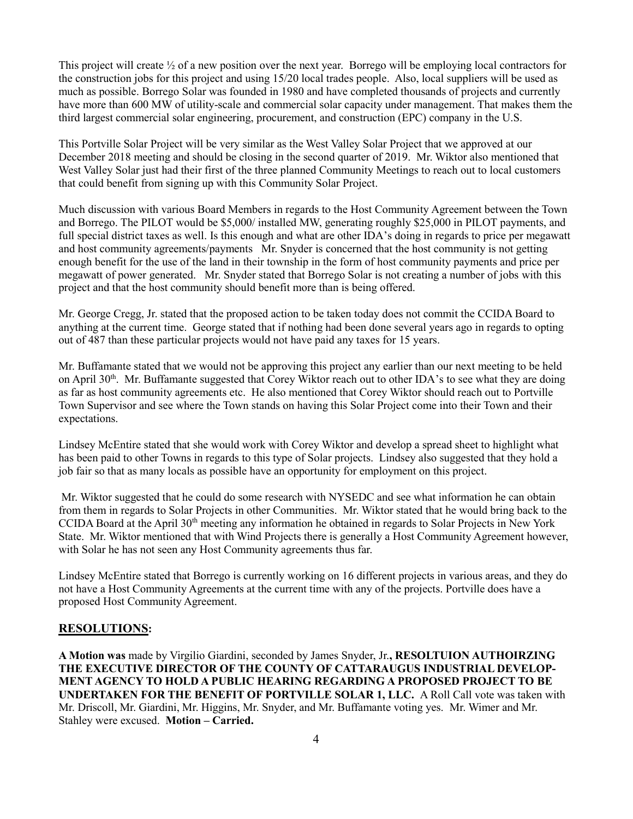This project will create ½ of a new position over the next year. Borrego will be employing local contractors for the construction jobs for this project and using 15/20 local trades people. Also, local suppliers will be used as much as possible. Borrego Solar was founded in 1980 and have completed thousands of projects and currently have more than 600 MW of utility-scale and commercial solar capacity under management. That makes them the third largest commercial solar engineering, procurement, and construction (EPC) company in the U.S.

This Portville Solar Project will be very similar as the West Valley Solar Project that we approved at our December 2018 meeting and should be closing in the second quarter of 2019. Mr. Wiktor also mentioned that West Valley Solar just had their first of the three planned Community Meetings to reach out to local customers that could benefit from signing up with this Community Solar Project.

Much discussion with various Board Members in regards to the Host Community Agreement between the Town and Borrego. The PILOT would be \$5,000/ installed MW, generating roughly \$25,000 in PILOT payments, and full special district taxes as well. Is this enough and what are other IDA's doing in regards to price per megawatt and host community agreements/payments Mr. Snyder is concerned that the host community is not getting enough benefit for the use of the land in their township in the form of host community payments and price per megawatt of power generated. Mr. Snyder stated that Borrego Solar is not creating a number of jobs with this project and that the host community should benefit more than is being offered.

Mr. George Cregg, Jr. stated that the proposed action to be taken today does not commit the CCIDA Board to anything at the current time. George stated that if nothing had been done several years ago in regards to opting out of 487 than these particular projects would not have paid any taxes for 15 years.

Mr. Buffamante stated that we would not be approving this project any earlier than our next meeting to be held on April  $30<sup>th</sup>$ . Mr. Buffamante suggested that Corey Wiktor reach out to other IDA's to see what they are doing as far as host community agreements etc. He also mentioned that Corey Wiktor should reach out to Portville Town Supervisor and see where the Town stands on having this Solar Project come into their Town and their expectations.

Lindsey McEntire stated that she would work with Corey Wiktor and develop a spread sheet to highlight what has been paid to other Towns in regards to this type of Solar projects. Lindsey also suggested that they hold a job fair so that as many locals as possible have an opportunity for employment on this project.

Mr. Wiktor suggested that he could do some research with NYSEDC and see what information he can obtain from them in regards to Solar Projects in other Communities. Mr. Wiktor stated that he would bring back to the CCIDA Board at the April 30<sup>th</sup> meeting any information he obtained in regards to Solar Projects in New York State. Mr. Wiktor mentioned that with Wind Projects there is generally a Host Community Agreement however, with Solar he has not seen any Host Community agreements thus far.

Lindsey McEntire stated that Borrego is currently working on 16 different projects in various areas, and they do not have a Host Community Agreements at the current time with any of the projects. Portville does have a proposed Host Community Agreement.

#### **RESOLUTIONS:**

**A Motion was** made by Virgilio Giardini, seconded by James Snyder, Jr.**, RESOLTUION AUTHOIRZING THE EXECUTIVE DIRECTOR OF THE COUNTY OF CATTARAUGUS INDUSTRIAL DEVELOP-MENT AGENCY TO HOLD A PUBLIC HEARING REGARDING A PROPOSED PROJECT TO BE UNDERTAKEN FOR THE BENEFIT OF PORTVILLE SOLAR 1, LLC.** A Roll Call vote was taken with Mr. Driscoll, Mr. Giardini, Mr. Higgins, Mr. Snyder, and Mr. Buffamante voting yes. Mr. Wimer and Mr. Stahley were excused. **Motion – Carried.**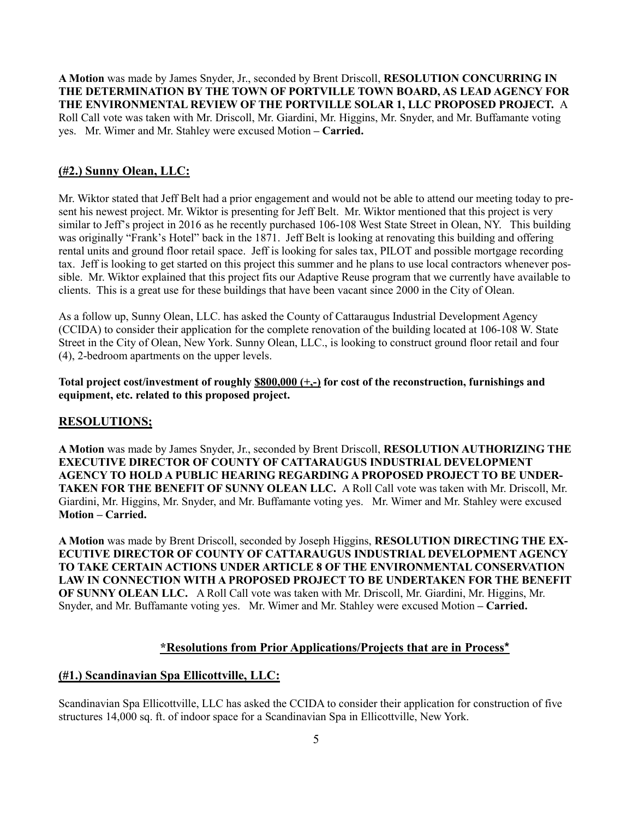**A Motion** was made by James Snyder, Jr., seconded by Brent Driscoll, **RESOLUTION CONCURRING IN THE DETERMINATION BY THE TOWN OF PORTVILLE TOWN BOARD, AS LEAD AGENCY FOR THE ENVIRONMENTAL REVIEW OF THE PORTVILLE SOLAR 1, LLC PROPOSED PROJECT.** A Roll Call vote was taken with Mr. Driscoll, Mr. Giardini, Mr. Higgins, Mr. Snyder, and Mr. Buffamante voting yes. Mr. Wimer and Mr. Stahley were excused Motion **– Carried.**

## **(#2.) Sunny Olean, LLC:**

Mr. Wiktor stated that Jeff Belt had a prior engagement and would not be able to attend our meeting today to present his newest project. Mr. Wiktor is presenting for Jeff Belt. Mr. Wiktor mentioned that this project is very similar to Jeff's project in 2016 as he recently purchased 106-108 West State Street in Olean, NY. This building was originally "Frank's Hotel" back in the 1871. Jeff Belt is looking at renovating this building and offering rental units and ground floor retail space. Jeff is looking for sales tax, PILOT and possible mortgage recording tax. Jeff is looking to get started on this project this summer and he plans to use local contractors whenever possible. Mr. Wiktor explained that this project fits our Adaptive Reuse program that we currently have available to clients. This is a great use for these buildings that have been vacant since 2000 in the City of Olean.

As a follow up, Sunny Olean, LLC. has asked the County of Cattaraugus Industrial Development Agency (CCIDA) to consider their application for the complete renovation of the building located at 106-108 W. State Street in the City of Olean, New York. Sunny Olean, LLC., is looking to construct ground floor retail and four (4), 2-bedroom apartments on the upper levels.

**Total project cost/investment of roughly \$800,000 (+,-) for cost of the reconstruction, furnishings and equipment, etc. related to this proposed project.**

#### **RESOLUTIONS;**

**A Motion** was made by James Snyder, Jr., seconded by Brent Driscoll, **RESOLUTION AUTHORIZING THE EXECUTIVE DIRECTOR OF COUNTY OF CATTARAUGUS INDUSTRIAL DEVELOPMENT AGENCY TO HOLD A PUBLIC HEARING REGARDING A PROPOSED PROJECT TO BE UNDER-TAKEN FOR THE BENEFIT OF SUNNY OLEAN LLC.** A Roll Call vote was taken with Mr. Driscoll, Mr. Giardini, Mr. Higgins, Mr. Snyder, and Mr. Buffamante voting yes. Mr. Wimer and Mr. Stahley were excused **Motion – Carried.**

**A Motion** was made by Brent Driscoll, seconded by Joseph Higgins, **RESOLUTION DIRECTING THE EX-ECUTIVE DIRECTOR OF COUNTY OF CATTARAUGUS INDUSTRIAL DEVELOPMENT AGENCY TO TAKE CERTAIN ACTIONS UNDER ARTICLE 8 OF THE ENVIRONMENTAL CONSERVATION LAW IN CONNECTION WITH A PROPOSED PROJECT TO BE UNDERTAKEN FOR THE BENEFIT OF SUNNY OLEAN LLC.** A Roll Call vote was taken with Mr. Driscoll, Mr. Giardini, Mr. Higgins, Mr. Snyder, and Mr. Buffamante voting yes. Mr. Wimer and Mr. Stahley were excused Motion **– Carried.**

#### **\*Resolutions from Prior Applications/Projects that are in Process\***

#### **(#1.) Scandinavian Spa Ellicottville, LLC:**

Scandinavian Spa Ellicottville, LLC has asked the CCIDA to consider their application for construction of five structures 14,000 sq. ft. of indoor space for a Scandinavian Spa in Ellicottville, New York.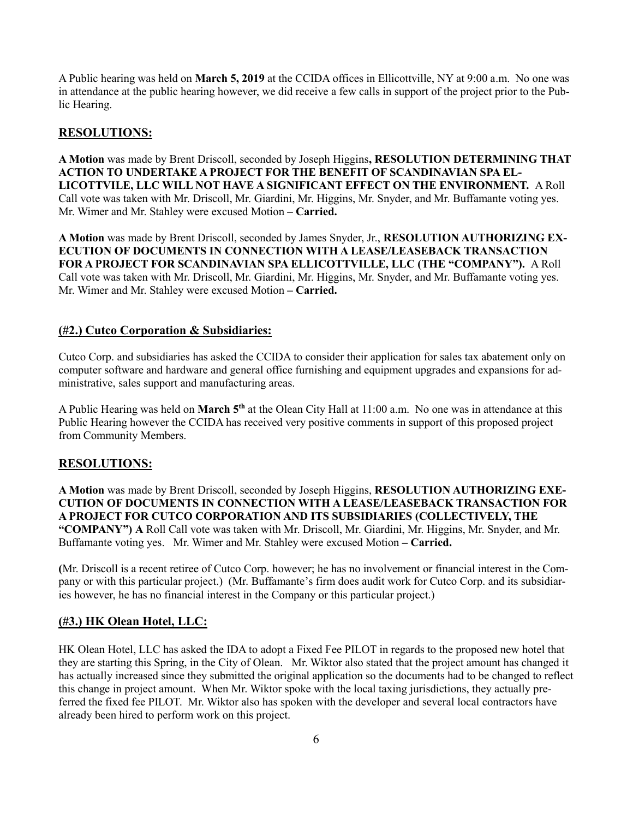A Public hearing was held on **March 5, 2019** at the CCIDA offices in Ellicottville, NY at 9:00 a.m. No one was in attendance at the public hearing however, we did receive a few calls in support of the project prior to the Public Hearing.

## **RESOLUTIONS:**

**A Motion** was made by Brent Driscoll, seconded by Joseph Higgins**, RESOLUTION DETERMINING THAT ACTION TO UNDERTAKE A PROJECT FOR THE BENEFIT OF SCANDINAVIAN SPA EL-LICOTTVILE, LLC WILL NOT HAVE A SIGNIFICANT EFFECT ON THE ENVIRONMENT.** A Roll Call vote was taken with Mr. Driscoll, Mr. Giardini, Mr. Higgins, Mr. Snyder, and Mr. Buffamante voting yes. Mr. Wimer and Mr. Stahley were excused Motion **– Carried.**

**A Motion** was made by Brent Driscoll, seconded by James Snyder, Jr., **RESOLUTION AUTHORIZING EX-ECUTION OF DOCUMENTS IN CONNECTION WITH A LEASE/LEASEBACK TRANSACTION FOR A PROJECT FOR SCANDINAVIAN SPA ELLICOTTVILLE, LLC (THE "COMPANY").** A Roll Call vote was taken with Mr. Driscoll, Mr. Giardini, Mr. Higgins, Mr. Snyder, and Mr. Buffamante voting yes. Mr. Wimer and Mr. Stahley were excused Motion **– Carried.**

#### **(#2.) Cutco Corporation & Subsidiaries:**

Cutco Corp. and subsidiaries has asked the CCIDA to consider their application for sales tax abatement only on computer software and hardware and general office furnishing and equipment upgrades and expansions for administrative, sales support and manufacturing areas.

A Public Hearing was held on **March 5th** at the Olean City Hall at 11:00 a.m. No one was in attendance at this Public Hearing however the CCIDA has received very positive comments in support of this proposed project from Community Members.

#### **RESOLUTIONS:**

**A Motion** was made by Brent Driscoll, seconded by Joseph Higgins, **RESOLUTION AUTHORIZING EXE-CUTION OF DOCUMENTS IN CONNECTION WITH A LEASE/LEASEBACK TRANSACTION FOR A PROJECT FOR CUTCO CORPORATION AND ITS SUBSIDIARIES (COLLECTIVELY, THE "COMPANY") A** Roll Call vote was taken with Mr. Driscoll, Mr. Giardini, Mr. Higgins, Mr. Snyder, and Mr. Buffamante voting yes. Mr. Wimer and Mr. Stahley were excused Motion **– Carried.**

**(**Mr. Driscoll is a recent retiree of Cutco Corp. however; he has no involvement or financial interest in the Company or with this particular project.) (Mr. Buffamante's firm does audit work for Cutco Corp. and its subsidiaries however, he has no financial interest in the Company or this particular project.)

#### **(#3.) HK Olean Hotel, LLC:**

HK Olean Hotel, LLC has asked the IDA to adopt a Fixed Fee PILOT in regards to the proposed new hotel that they are starting this Spring, in the City of Olean.Mr. Wiktor also stated that the project amount has changed it has actually increased since they submitted the original application so the documents had to be changed to reflect this change in project amount. When Mr. Wiktor spoke with the local taxing jurisdictions, they actually preferred the fixed fee PILOT. Mr. Wiktor also has spoken with the developer and several local contractors have already been hired to perform work on this project.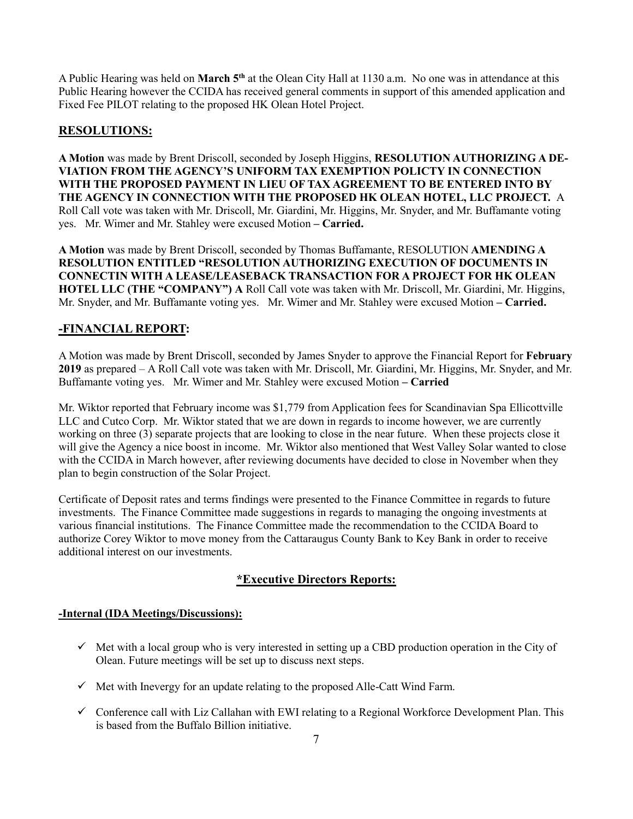A Public Hearing was held on **March 5th** at the Olean City Hall at 1130 a.m. No one was in attendance at this Public Hearing however the CCIDA has received general comments in support of this amended application and Fixed Fee PILOT relating to the proposed HK Olean Hotel Project.

## **RESOLUTIONS:**

**A Motion** was made by Brent Driscoll, seconded by Joseph Higgins, **RESOLUTION AUTHORIZING A DE-VIATION FROM THE AGENCY'S UNIFORM TAX EXEMPTION POLICTY IN CONNECTION WITH THE PROPOSED PAYMENT IN LIEU OF TAX AGREEMENT TO BE ENTERED INTO BY THE AGENCY IN CONNECTION WITH THE PROPOSED HK OLEAN HOTEL, LLC PROJECT.** A Roll Call vote was taken with Mr. Driscoll, Mr. Giardini, Mr. Higgins, Mr. Snyder, and Mr. Buffamante voting yes. Mr. Wimer and Mr. Stahley were excused Motion **– Carried.**

**A Motion** was made by Brent Driscoll, seconded by Thomas Buffamante, RESOLUTION **AMENDING A RESOLUTION ENTITLED "RESOLUTION AUTHORIZING EXECUTION OF DOCUMENTS IN CONNECTIN WITH A LEASE/LEASEBACK TRANSACTION FOR A PROJECT FOR HK OLEAN HOTEL LLC (THE "COMPANY") A** Roll Call vote was taken with Mr. Driscoll, Mr. Giardini, Mr. Higgins, Mr. Snyder, and Mr. Buffamante voting yes. Mr. Wimer and Mr. Stahley were excused Motion **– Carried.**

## **-FINANCIAL REPORT:**

A Motion was made by Brent Driscoll, seconded by James Snyder to approve the Financial Report for **February 2019** as prepared – A Roll Call vote was taken with Mr. Driscoll, Mr. Giardini, Mr. Higgins, Mr. Snyder, and Mr. Buffamante voting yes. Mr. Wimer and Mr. Stahley were excused Motion **– Carried**

Mr. Wiktor reported that February income was \$1,779 from Application fees for Scandinavian Spa Ellicottville LLC and Cutco Corp. Mr. Wiktor stated that we are down in regards to income however, we are currently working on three (3) separate projects that are looking to close in the near future. When these projects close it will give the Agency a nice boost in income. Mr. Wiktor also mentioned that West Valley Solar wanted to close with the CCIDA in March however, after reviewing documents have decided to close in November when they plan to begin construction of the Solar Project.

Certificate of Deposit rates and terms findings were presented to the Finance Committee in regards to future investments. The Finance Committee made suggestions in regards to managing the ongoing investments at various financial institutions. The Finance Committee made the recommendation to the CCIDA Board to authorize Corey Wiktor to move money from the Cattaraugus County Bank to Key Bank in order to receive additional interest on our investments.

## **\*Executive Directors Reports:**

#### **-Internal (IDA Meetings/Discussions):**

- $\checkmark$  Met with a local group who is very interested in setting up a CBD production operation in the City of Olean. Future meetings will be set up to discuss next steps.
- ✓ Met with Inevergy for an update relating to the proposed Alle-Catt Wind Farm.
- $\checkmark$  Conference call with Liz Callahan with EWI relating to a Regional Workforce Development Plan. This is based from the Buffalo Billion initiative.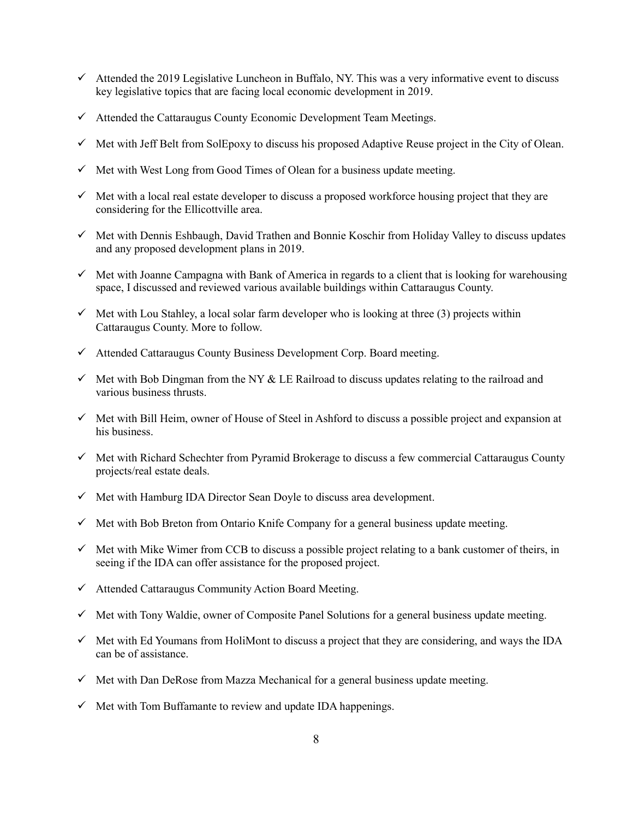- $\checkmark$  Attended the 2019 Legislative Luncheon in Buffalo, NY. This was a very informative event to discuss key legislative topics that are facing local economic development in 2019.
- ✓ Attended the Cattaraugus County Economic Development Team Meetings.
- $\checkmark$  Met with Jeff Belt from SolEpoxy to discuss his proposed Adaptive Reuse project in the City of Olean.
- $\checkmark$  Met with West Long from Good Times of Olean for a business update meeting.
- $\checkmark$  Met with a local real estate developer to discuss a proposed workforce housing project that they are considering for the Ellicottville area.
- ✓ Met with Dennis Eshbaugh, David Trathen and Bonnie Koschir from Holiday Valley to discuss updates and any proposed development plans in 2019.
- $\checkmark$  Met with Joanne Campagna with Bank of America in regards to a client that is looking for warehousing space, I discussed and reviewed various available buildings within Cattaraugus County.
- $\checkmark$  Met with Lou Stahley, a local solar farm developer who is looking at three (3) projects within Cattaraugus County. More to follow.
- ✓ Attended Cattaraugus County Business Development Corp. Board meeting.
- $\checkmark$  Met with Bob Dingman from the NY & LE Railroad to discuss updates relating to the railroad and various business thrusts.
- ✓ Met with Bill Heim, owner of House of Steel in Ashford to discuss a possible project and expansion at his business.
- $\checkmark$  Met with Richard Schechter from Pyramid Brokerage to discuss a few commercial Cattaraugus County projects/real estate deals.
- ✓ Met with Hamburg IDA Director Sean Doyle to discuss area development.
- $\checkmark$  Met with Bob Breton from Ontario Knife Company for a general business update meeting.
- ✓ Met with Mike Wimer from CCB to discuss a possible project relating to a bank customer of theirs, in seeing if the IDA can offer assistance for the proposed project.
- $\checkmark$  Attended Cattaraugus Community Action Board Meeting.
- $\checkmark$  Met with Tony Waldie, owner of Composite Panel Solutions for a general business update meeting.
- $\checkmark$  Met with Ed Youmans from HoliMont to discuss a project that they are considering, and ways the IDA can be of assistance.
- $\checkmark$  Met with Dan DeRose from Mazza Mechanical for a general business update meeting.
- $\checkmark$  Met with Tom Buffamante to review and update IDA happenings.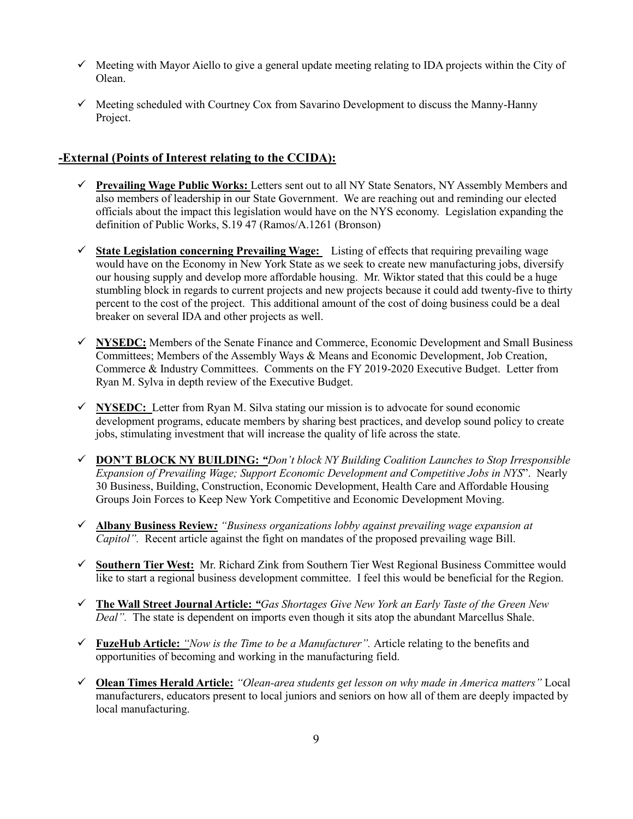- $\checkmark$  Meeting with Mayor Aiello to give a general update meeting relating to IDA projects within the City of Olean.
- $\checkmark$  Meeting scheduled with Courtney Cox from Savarino Development to discuss the Manny-Hanny Project.

## **-External (Points of Interest relating to the CCIDA):**

- ✓ **Prevailing Wage Public Works:** Letters sent out to all NY State Senators, NY Assembly Members and also members of leadership in our State Government. We are reaching out and reminding our elected officials about the impact this legislation would have on the NYS economy. Legislation expanding the definition of Public Works, S.19 47 (Ramos/A.1261 (Bronson)
- ✓ **State Legislation concerning Prevailing Wage:** Listing of effects that requiring prevailing wage would have on the Economy in New York State as we seek to create new manufacturing jobs, diversify our housing supply and develop more affordable housing. Mr. Wiktor stated that this could be a huge stumbling block in regards to current projects and new projects because it could add twenty-five to thirty percent to the cost of the project. This additional amount of the cost of doing business could be a deal breaker on several IDA and other projects as well.
- ✓ **NYSEDC:** Members of the Senate Finance and Commerce, Economic Development and Small Business Committees; Members of the Assembly Ways & Means and Economic Development, Job Creation, Commerce & Industry Committees. Comments on the FY 2019-2020 Executive Budget. Letter from Ryan M. Sylva in depth review of the Executive Budget.
- ✓ **NYSEDC:** Letter from Ryan M. Silva stating our mission is to advocate for sound economic development programs, educate members by sharing best practices, and develop sound policy to create jobs, stimulating investment that will increase the quality of life across the state.
- ✓ **DON'T BLOCK NY BUILDING:** *"Don't block NY Building Coalition Launches to Stop Irresponsible Expansion of Prevailing Wage; Support Economic Development and Competitive Jobs in NYS*". Nearly 30 Business, Building, Construction, Economic Development, Health Care and Affordable Housing Groups Join Forces to Keep New York Competitive and Economic Development Moving.
- ✓ **Albany Business Review***: "Business organizations lobby against prevailing wage expansion at Capitol".* Recent article against the fight on mandates of the proposed prevailing wage Bill.
- ✓ **Southern Tier West:** Mr. Richard Zink from Southern Tier West Regional Business Committee would like to start a regional business development committee. I feel this would be beneficial for the Region.
- ✓ **The Wall Street Journal Article:** *"Gas Shortages Give New York an Early Taste of the Green New Deal".* The state is dependent on imports even though it sits atop the abundant Marcellus Shale.
- ✓ **FuzeHub Article:** *"Now is the Time to be a Manufacturer".* Article relating to the benefits and opportunities of becoming and working in the manufacturing field.
- ✓ **Olean Times Herald Article:** *"Olean-area students get lesson on why made in America matters"* Local manufacturers, educators present to local juniors and seniors on how all of them are deeply impacted by local manufacturing.